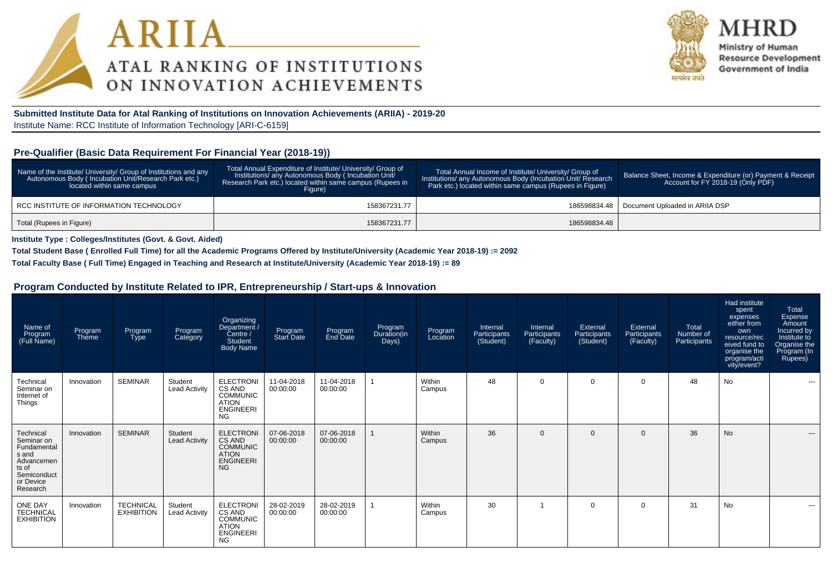



Ministry of Human **Resource Development** Government of India

**Submitted Institute Data for Atal Ranking of Institutions on Innovation Achievements (ARIIA) - 2019-20**Institute Name: RCC Institute of Information Technology [ARI-C-6159]

#### **Pre-Qualifier (Basic Data Requirement For Financial Year (2018-19))**

| Name of the Institute/ University/ Group of Institutions and any<br>Autonomous Body (Incubation Unit/Research Park etc.)<br>located within same campus | Total Annual Expenditure of Institute/ University/ Group of<br>Institutions/ any Autonomous Body (Incubation Unit/<br>Research Park etc.) located within same campus (Rupees in<br>Figure) | Total Annual Income of Institute/ University/ Group of<br>Institutions/ any Autonomous Body (Incubation Unit/ Research<br>Park etc.) located within same campus (Rupees in Figure) | Balance Sheet, Income & Expenditure (or) Payment & Receipt<br>Account for FY 2018-19 (Only PDF) |
|--------------------------------------------------------------------------------------------------------------------------------------------------------|--------------------------------------------------------------------------------------------------------------------------------------------------------------------------------------------|------------------------------------------------------------------------------------------------------------------------------------------------------------------------------------|-------------------------------------------------------------------------------------------------|
| RCC INSTITUTE OF INFORMATION TECHNOLOGY                                                                                                                | 158367231.77                                                                                                                                                                               | 186598834.48                                                                                                                                                                       | Document Uploaded in ARIIA DSP                                                                  |
| Total (Rupees in Figure)                                                                                                                               | 158367231.77                                                                                                                                                                               | 186598834.48                                                                                                                                                                       |                                                                                                 |

**Institute Type : Colleges/Institutes (Govt. & Govt. Aided)**

**Total Student Base ( Enrolled Full Time) for all the Academic Programs Offered by Institute/University (Academic Year 2018-19) := 2092**

**Total Faculty Base ( Full Time) Engaged in Teaching and Research at Institute/University (Academic Year 2018-19) := 89**

#### **Program Conducted by Institute Related to IPR, Entrepreneurship / Start-ups & Innovation**

| Name of<br>Program<br>(Full Name)                                                                              | Program<br>Theme | Program<br><b>Type</b>                | Program<br>Category             | Organizing<br>/ Department<br>Centre /<br><b>Student</b><br><b>Body Name</b>                   | Program<br><b>Start Date</b> | Program<br>End Date    | Program<br>Duration(in<br>Days) | Program<br>Location | Internal<br>Participants<br>(Student) | Internal<br>Participants<br>(Faculty) | External<br>Participants<br>(Student) | External<br>Participants<br>(Faculty) | Total<br>Number of<br>Participants | Had institute<br>spent<br>expenses<br>either from<br>own<br>resource/rec<br>eived fund to<br>organise the<br>program/acti<br>vity/event? | Total<br>Expense<br>Amount<br>Incurred by<br>Institute to<br>Organise the<br>Program (In<br>Rupees) |
|----------------------------------------------------------------------------------------------------------------|------------------|---------------------------------------|---------------------------------|------------------------------------------------------------------------------------------------|------------------------------|------------------------|---------------------------------|---------------------|---------------------------------------|---------------------------------------|---------------------------------------|---------------------------------------|------------------------------------|------------------------------------------------------------------------------------------------------------------------------------------|-----------------------------------------------------------------------------------------------------|
| Technical<br>Seminar on<br>Internet of<br>Things                                                               | Innovation       | <b>SEMINAR</b>                        | Student<br><b>Lead Activity</b> | <b>ELECTRONI</b><br>CS AND<br><b>COMMUNIC</b><br><b>ATION</b><br><b>ENGINEERI</b><br><b>NG</b> | 11-04-2018<br>00:00:00       | 11-04-2018<br>00:00:00 |                                 | Within<br>Campus    | 48                                    | $\Omega$                              | $\mathbf 0$                           | $\mathbf 0$                           | 48                                 | <b>No</b>                                                                                                                                | $\sim$ $\sim$                                                                                       |
| Technical<br>Seminar on<br>Fundamental<br>s and<br>Advancemen<br>ts of<br>Semiconduct<br>or Device<br>Research | Innovation       | <b>SEMINAR</b>                        | Student<br><b>Lead Activity</b> | <b>ELECTRONI</b><br>CS AND<br><b>COMMUNIC</b><br><b>ATION</b><br><b>ENGINEERI</b><br><b>NG</b> | 07-06-2018<br>00:00:00       | 07-06-2018<br>00:00:00 |                                 | Within<br>Campus    | 36                                    | $\Omega$                              | $\Omega$                              | $\Omega$                              | 36                                 | <b>No</b>                                                                                                                                | $\cdots$                                                                                            |
| <b>ONE DAY</b><br><b>TECHNICAL</b><br><b>EXHIBITION</b>                                                        | Innovation       | <b>TECHNICAL</b><br><b>EXHIBITION</b> | Student<br><b>Lead Activity</b> | <b>ELECTRONI</b><br>CS AND<br><b>COMMUNIC</b><br><b>ATION</b><br><b>ENGINEERI</b><br><b>NG</b> | 28-02-2019<br>00:00:00       | 28-02-2019<br>00:00:00 |                                 | Within<br>Campus    | 30                                    |                                       | $\Omega$                              | $\Omega$                              | 31                                 | No                                                                                                                                       | $- - -$                                                                                             |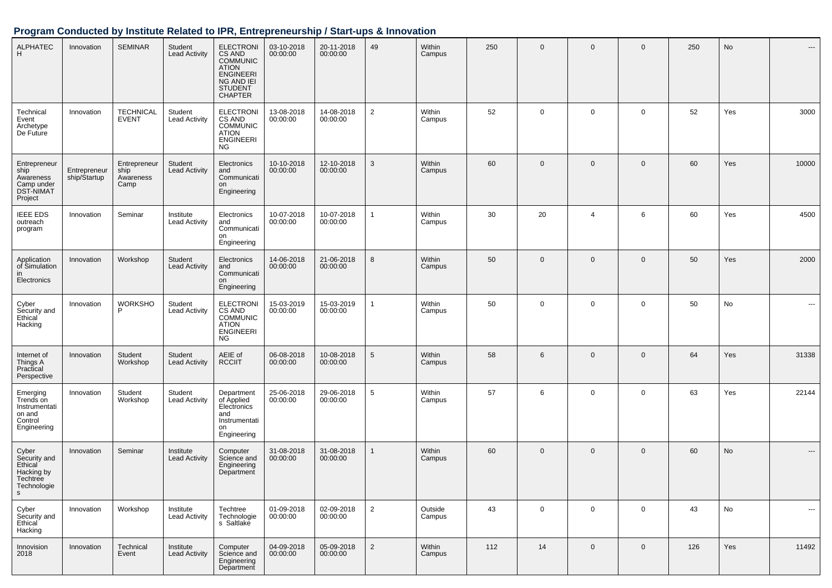# **Program Conducted by Institute Related to IPR, Entrepreneurship / Start-ups & Innovation**

| <b>ALPHATEC</b><br>H                                                           | Innovation                   | <b>SEMINAR</b>                            | Student<br><b>Lead Activity</b>   | <b>ELECTRONI</b><br>CS AND<br><b>COMMUNIC</b><br><b>ATION</b><br><b>ENGINEERI</b><br>NG AND IEI<br><b>STUDENT</b><br><b>CHAPTER</b> | 03-10-2018<br>00:00:00 | 20-11-2018<br>00:00:00 | 49             | Within<br>Campus  | 250 | $\mathbf 0$  | $\mathbf 0$    | $\mathbf 0$  | 250 | No  | ---      |
|--------------------------------------------------------------------------------|------------------------------|-------------------------------------------|-----------------------------------|-------------------------------------------------------------------------------------------------------------------------------------|------------------------|------------------------|----------------|-------------------|-----|--------------|----------------|--------------|-----|-----|----------|
| Technical<br>Event<br>Archetype<br>De Future                                   | Innovation                   | <b>TECHNICAL</b><br><b>EVENT</b>          | Student<br><b>Lead Activity</b>   | <b>ELECTRONI</b><br>CS AND<br><b>COMMUNIC</b><br><b>ATION</b><br><b>ENGINEERI</b><br>NG                                             | 13-08-2018<br>00:00:00 | 14-08-2018<br>00:00:00 | $\overline{2}$ | Within<br>Campus  | 52  | $\mathbf 0$  | $\mathbf 0$    | $\mathbf 0$  | 52  | Yes | 3000     |
| Entrepreneur<br>ship<br>Awareness<br>Camp under<br><b>DST-NIMAT</b><br>Project | Entrepreneur<br>ship/Startup | Entrepreneur<br>ship<br>Awareness<br>Camp | Student<br><b>Lead Activity</b>   | Electronics<br>and<br>Communicati<br>on<br>Engineering                                                                              | 10-10-2018<br>00:00:00 | 12-10-2018<br>00:00:00 | 3              | Within<br>Campus  | 60  | $\mathbf{0}$ | $\mathbf 0$    | $\mathbf{0}$ | 60  | Yes | 10000    |
| <b>IEEE EDS</b><br>outreach<br>program                                         | Innovation                   | Seminar                                   | Institute<br><b>Lead Activity</b> | Electronics<br>and<br>Communicati<br>on<br>Engineering                                                                              | 10-07-2018<br>00:00:00 | 10-07-2018<br>00:00:00 | 1              | Within<br>Campus  | 30  | 20           | $\overline{4}$ | 6            | 60  | Yes | 4500     |
| Application<br>of Simulation<br>in<br>Electronics                              | Innovation                   | Workshop                                  | Student<br><b>Lead Activity</b>   | Electronics<br>and<br>Communicati<br>on<br>Engineering                                                                              | 14-06-2018<br>00:00:00 | 21-06-2018<br>00:00:00 | 8              | Within<br>Campus  | 50  | $\mathbf 0$  | $\mathbf 0$    | $\mathbf{0}$ | 50  | Yes | 2000     |
| Cyber<br>Security and<br>Ethical <sup>®</sup><br>Hacking                       | Innovation                   | <b>WORKSHO</b><br>P                       | Student<br><b>Lead Activity</b>   | <b>ELECTRONI</b><br>CS AND<br><b>COMMUNIC</b><br><b>ATION</b><br><b>ENGINEERI</b><br><b>NG</b>                                      | 15-03-2019<br>00:00:00 | 15-03-2019<br>00:00:00 | 1              | Within<br>Campus  | 50  | 0            | 0              | $\mathbf 0$  | 50  | No  | ---      |
| Internet of<br>Things A<br>Practical<br>Perspective                            | Innovation                   | Student<br>Workshop                       | Student<br><b>Lead Activity</b>   | AEIE of<br><b>RCCIIT</b>                                                                                                            | 06-08-2018<br>00:00:00 | 10-08-2018<br>00:00:00 | $\sqrt{5}$     | Within<br>Campus  | 58  | 6            | $\mathbf 0$    | $\mathbf{0}$ | 64  | Yes | 31338    |
| Emerging<br>Trends on<br>Instrumentati<br>on and<br>Control<br>Engineering     | Innovation                   | Student<br>Workshop                       | Student<br><b>Lead Activity</b>   | Department<br>of Applied<br>Electronics<br>and<br>Instrumentati<br>on<br>Engineering                                                | 25-06-2018<br>00:00:00 | 29-06-2018<br>00:00:00 | 5              | Within<br>Campus  | 57  | 6            | $\mathbf 0$    | $\mathbf 0$  | 63  | Yes | 22144    |
| Cyber<br>Security and<br>Ethical<br>Hacking by<br>Techtree<br>Technologie<br>s | Innovation                   | Seminar                                   | Institute<br><b>Lead Activity</b> | Computer<br>Science and<br>Engineering<br>Department                                                                                | 31-08-2018<br>00:00:00 | 31-08-2018<br>00:00:00 | 1              | Within<br>Campus  | 60  | $\mathbf 0$  | $\mathbf 0$    | $\mathbf{0}$ | 60  | No  | ---      |
| Cyber<br>Security and<br>Ethical <sup>-</sup><br>Hacking                       | Innovation                   | Workshop                                  | Institute<br><b>Lead Activity</b> | Techtree<br>Technologie<br>s Saltlake                                                                                               | 01-09-2018<br>00:00:00 | 02-09-2018<br>00:00:00 | $\overline{2}$ | Outside<br>Campus | 43  | 0            | $\mathbf 0$    | $\mathbf 0$  | 43  | No  | $\cdots$ |
| Innovision<br>2018                                                             | Innovation                   | Technical<br>Event                        | Institute<br><b>Lead Activity</b> | Computer<br>Science and<br>Engineering<br>Department                                                                                | 04-09-2018<br>00:00:00 | 05-09-2018<br>00:00:00 | $\overline{2}$ | Within<br>Campus  | 112 | 14           | $\mathbf 0$    | $\mathbf 0$  | 126 | Yes | 11492    |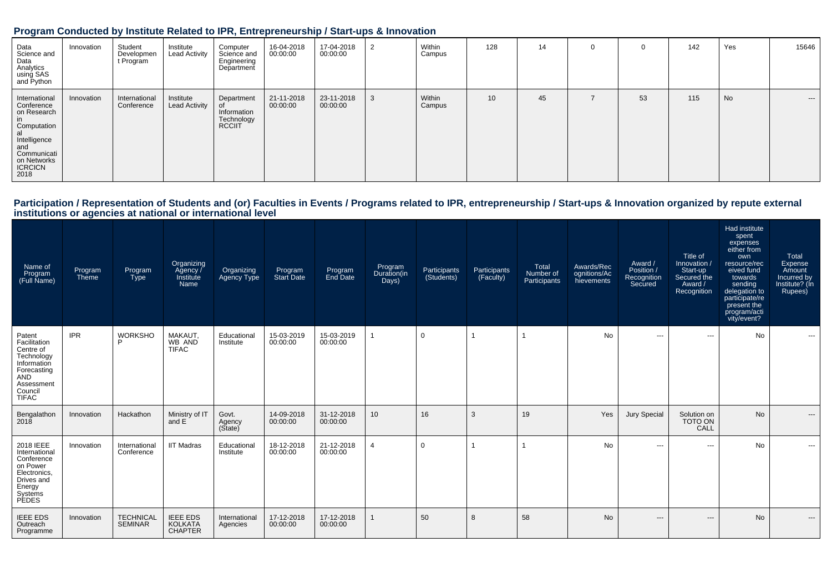### **Program Conducted by Institute Related to IPR, Entrepreneurship / Start-ups & Innovation**

| Data<br>Science and<br>Data<br>Analytics<br>using SAS<br>and Python                                                                             | Innovation | Student<br>Developmen<br>t Program | Institute<br><b>Lead Activity</b> | Computer<br>Science and<br>Engineering<br>Department     | 16-04-2018<br>00:00:00 | 17-04-2018<br>00:00:00 |   | Within<br>Campus | 128             | 14 | 0  | 142 | Yes | 15646 |
|-------------------------------------------------------------------------------------------------------------------------------------------------|------------|------------------------------------|-----------------------------------|----------------------------------------------------------|------------------------|------------------------|---|------------------|-----------------|----|----|-----|-----|-------|
| International<br>Conference<br>on Research<br>in<br>Computation<br>al<br>Intelligence<br>and<br>Communication<br>On Networks<br>ICRCICN<br>2018 | Innovation | International<br>Conference        | Institute<br><b>Lead Activity</b> | Department<br>Information<br>Technology<br><b>RCCIIT</b> | 21-11-2018<br>00:00:00 | 23-11-2018<br>00:00:00 | 3 | Within<br>Campus | 10 <sup>1</sup> | 45 | 53 | 115 | No  | $--$  |

# Participation / Representation of Students and (or) Faculties in Events / Programs related to IPR, entrepreneurship / Start-ups & Innovation organized by repute external<br>institutions or agencies at national or internationa

| Name of<br>Program<br>(Full Name)                                                                                                      | Program<br>Theme | Program<br><b>Type</b>             | Organizing<br>Agency /<br>Institute<br>Name         | Organizing<br><b>Agency Type</b> | Program<br>Start Date  | Program<br>End Date    | Program<br>Duration(in<br>Days) | Participants<br>(Students) | Participants<br>(Faculty) | Total<br>Number of<br>Participants | Awards/Rec<br>ognitions/Ac<br>hievements | Award /<br>Position /<br>Recognition<br>Secured | Title of<br>Innovation /<br>Start-up<br>Secured the<br>Award /<br>Recognition | Had institute<br>spent<br>expenses<br>either from<br>own<br>resource/rec<br>eived fund<br>towards<br>sending<br>delegation to<br>participate/re<br>present the<br>program/acti<br>vity/event? | Total<br>Expense<br>Amount<br>Incurred by<br>Institute? (In<br>Rupees) |
|----------------------------------------------------------------------------------------------------------------------------------------|------------------|------------------------------------|-----------------------------------------------------|----------------------------------|------------------------|------------------------|---------------------------------|----------------------------|---------------------------|------------------------------------|------------------------------------------|-------------------------------------------------|-------------------------------------------------------------------------------|-----------------------------------------------------------------------------------------------------------------------------------------------------------------------------------------------|------------------------------------------------------------------------|
| Patent<br>Facilitation<br>Centre of<br>Technology<br>Information<br>Forecasting<br><b>AND</b><br>Assessment<br>Council<br><b>TIFAC</b> | <b>IPR</b>       | <b>WORKSHO</b><br>P                | MAKAUT.<br>WB AND<br><b>TIFAC</b>                   | Educational<br>Institute         | 15-03-2019<br>00:00:00 | 15-03-2019<br>00:00:00 |                                 | $\mathbf 0$                |                           |                                    | No                                       | $-$                                             | $\cdots$                                                                      | <b>No</b>                                                                                                                                                                                     | $\sim$ $\sim$                                                          |
| Bengalathon<br>2018                                                                                                                    | Innovation       | Hackathon                          | Ministry of IT<br>and E                             | Govt.<br>Agency<br>(Sitate)      | 14-09-2018<br>00:00:00 | 31-12-2018<br>00:00:00 | 10                              | 16                         | 3                         | 19                                 | Yes                                      | <b>Jury Special</b>                             | Solution on<br><b>TOTO ON</b><br>CALL                                         | <b>No</b>                                                                                                                                                                                     | $---$                                                                  |
| 2018 IEEE<br>International<br>Conference<br>on Power<br>Electronics,<br>Drives and<br>Energy<br>Systems<br><b>PEDES</b>                | Innovation       | International<br>Conference        | <b>IIT Madras</b>                                   | Educational<br>Institute         | 18-12-2018<br>00:00:00 | 21-12-2018<br>00:00:00 | $\overline{4}$                  | 0                          |                           |                                    | No                                       | $\sim$ $\sim$                                   | $\sim$ $\sim$                                                                 | <b>No</b>                                                                                                                                                                                     | $\cdots$                                                               |
| <b>IEEE EDS</b><br>Outreach<br>Programme                                                                                               | Innovation       | <b>TECHNICAL</b><br><b>SEMINAR</b> | <b>IEEE EDS</b><br><b>KOLKATA</b><br><b>CHAPTER</b> | International<br>Agencies        | 17-12-2018<br>00:00:00 | 17-12-2018<br>00:00:00 |                                 | 50                         | 8                         | 58                                 | No                                       | $\hspace{0.05cm} \ldots$                        | $\hspace{1.5cm} \textbf{---}$                                                 | No                                                                                                                                                                                            | $---$                                                                  |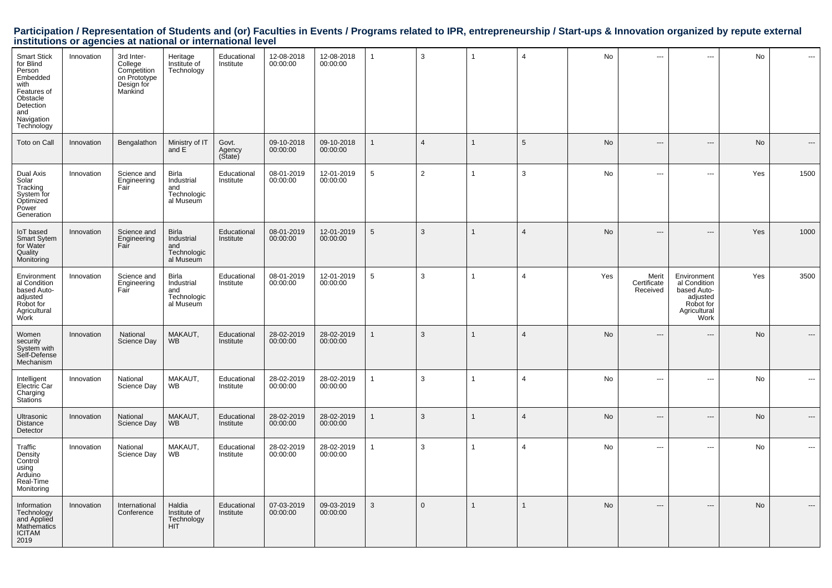# Participation / Representation of Students and (or) Faculties in Events / Programs related to IPR, entrepreneurship / Start-ups & Innovation organized by repute external<br>institutions or agencies at national or internationa

| Smart Stick<br>for Blind<br>Person<br>Embedded<br>with<br>Features of<br>Obstacle<br>Detection<br>and<br>Navigation<br>Technology | Innovation | 3rd Inter-<br>College<br>Competition<br>on Prototype<br>Design for<br>Mankind | Heritage<br>Institute of<br>Technology                        | Educational<br>Institute   | 12-08-2018<br>00:00:00 | 12-08-2018<br>00:00:00 | $\mathbf{1}$ | 3              | 1            | $\overline{4}$  | No        | $\sim$ $\sim$                    | ---                                                                                         | No  | ---                      |
|-----------------------------------------------------------------------------------------------------------------------------------|------------|-------------------------------------------------------------------------------|---------------------------------------------------------------|----------------------------|------------------------|------------------------|--------------|----------------|--------------|-----------------|-----------|----------------------------------|---------------------------------------------------------------------------------------------|-----|--------------------------|
| Toto on Call                                                                                                                      | Innovation | Bengalathon                                                                   | Ministry of IT<br>and E                                       | Govt.<br>Agency<br>(State) | 09-10-2018<br>00:00:00 | 09-10-2018<br>00:00:00 | 1            | $\overline{4}$ | $\mathbf{1}$ | $5\phantom{.0}$ | No        |                                  | $\overline{\phantom{a}}$                                                                    | No  |                          |
| Dual Axis<br>Solar<br>Tracking<br>System for<br>Optimized<br>Power<br>Generation                                                  | Innovation | Science and<br>Engineering<br>Fair                                            | Birla<br>Industrial<br>and<br>Technologic<br>al Museum        | Educational<br>Institute   | 08-01-2019<br>00:00:00 | 12-01-2019<br>00:00:00 | $\,$ 5 $\,$  | 2              |              | 3               | No        | $\sim$ $\sim$                    | $\cdots$                                                                                    | Yes | 1500                     |
| loT based<br>Smart Sytem<br>for Water<br>Quality<br>Monitoring                                                                    | Innovation | Science and<br>Engineering<br>Fair                                            | <b>Birla</b><br>Industrial<br>and<br>Technologic<br>al Museum | Educational<br>Institute   | 08-01-2019<br>00:00:00 | 12-01-2019<br>00:00:00 | $\sqrt{5}$   | 3              | $\mathbf{1}$ | $\overline{4}$  | No        | $\overline{\phantom{a}}$         | $---$                                                                                       | Yes | 1000                     |
| Environment<br>al Condition<br>based Auto-<br>adjusted<br>Robot for<br>Agricultural<br>Work                                       | Innovation | Science and<br>Engineering<br>Fair                                            | Birla<br>Industrial<br>and<br>Technologic<br>al Museum        | Educational<br>Institute   | 08-01-2019<br>00:00:00 | 12-01-2019<br>00:00:00 | $\sqrt{5}$   | 3              | 1            | $\overline{4}$  | Yes       | Merit<br>Certificate<br>Received | Environment<br>al Condition<br>based Auto-<br>adjusted<br>Robot for<br>Agricultural<br>Work | Yes | 3500                     |
| Women<br>security<br>System with<br>Self-Defense<br>Mechanism                                                                     | Innovation | National<br>Science Day                                                       | MAKAUT,<br><b>WB</b>                                          | Educational<br>Institute   | 28-02-2019<br>00:00:00 | 28-02-2019<br>00:00:00 | $\mathbf{1}$ | 3              | $\mathbf{1}$ | $\overline{4}$  | <b>No</b> | $---$                            | $---$                                                                                       | No  | $---$                    |
| Intelligent<br>Electric Car<br>Charging<br><b>Stations</b>                                                                        | Innovation | National<br>Science Day                                                       | MAKAUT,<br>WB                                                 | Educational<br>Institute   | 28-02-2019<br>00:00:00 | 28-02-2019<br>00:00:00 | $\mathbf{1}$ | 3              | 1            | $\overline{4}$  | No        | $\sim$ $\sim$                    | $\cdots$                                                                                    | No  | $\overline{\phantom{a}}$ |
| Ultrasonic<br>Distance<br>Detector                                                                                                | Innovation | National<br>Science Day                                                       | MAKAUT,<br><b>WB</b>                                          | Educational<br>Institute   | 28-02-2019<br>00:00:00 | 28-02-2019<br>00:00:00 | $\mathbf{1}$ | 3              | $\mathbf{1}$ | $\overline{4}$  | No        | $\overline{a}$                   | $\overline{a}$                                                                              | No  | $---$                    |
| Traffic<br>Density<br>Control<br>using<br>Arduino<br>Real-Time<br>Monitoring                                                      | Innovation | National<br>Science Day                                                       | MAKAUT,<br>WB                                                 | Educational<br>Institute   | 28-02-2019<br>00:00:00 | 28-02-2019<br>00:00:00 | $\mathbf{1}$ | 3              | 1            | $\overline{4}$  | No        | ---                              | $\scriptstyle\cdots$                                                                        | No  | $\cdots$                 |
| Information<br>Technology<br>and Applied<br>Mathematics<br><b>ICITAM</b><br>2019                                                  | Innovation | International<br>Conference                                                   | Haldia<br>Institute of<br>Technology<br><b>HIT</b>            | Educational<br>Institute   | 07-03-2019<br>00:00:00 | 09-03-2019<br>00:00:00 | 3            | $\mathbf{0}$   | $\mathbf{1}$ | $\mathbf{1}$    | No        | ---                              | ---                                                                                         | No  | $\overline{\phantom{a}}$ |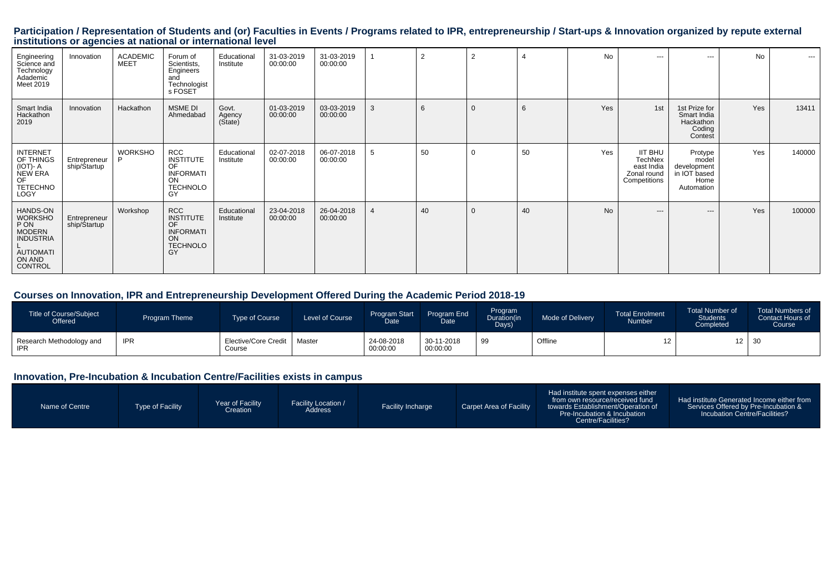# Participation / Representation of Students and (or) Faculties in Events / Programs related to IPR, entrepreneurship / Start-ups & Innovation organized by repute external<br>institutions or agencies at national or internationa

| Engineering<br>Science and<br>Technology<br>Adademic<br>Meet 2019                                                | Innovation                   | <b>ACADEMIC</b><br><b>MEET</b> | Forum of<br>Scientists,<br>Engineers<br>and<br>Technologist<br>s FOSET                  | Educational<br>Institute    | 31-03-2019<br>00:00:00 | 31-03-2019<br>00:00:00 |   | $\overline{2}$ | $\overline{2}$ |    | <b>No</b> | $--$                                                                          | $---$                                                                 | <b>No</b> | $- - -$ |
|------------------------------------------------------------------------------------------------------------------|------------------------------|--------------------------------|-----------------------------------------------------------------------------------------|-----------------------------|------------------------|------------------------|---|----------------|----------------|----|-----------|-------------------------------------------------------------------------------|-----------------------------------------------------------------------|-----------|---------|
| Smart India<br>Hackathon<br>2019                                                                                 | Innovation                   | Hackathon                      | MSME DI<br>Ahmedabad                                                                    | Govt.<br>Agency<br>(Sitate) | 01-03-2019<br>00:00:00 | 03-03-2019<br>00:00:00 | 3 | 6              | $\Omega$       | 6  | Yes       | 1st                                                                           | 1st Prize for<br>Smart India<br>Hackathon<br>Coding<br>Contest        | Yes       | 13411   |
| <b>INTERNET</b><br>OF THINGS<br>$(IOT)-A$<br>NEW ERA<br>OF<br><b>TETECHNO</b><br>LOGY                            | Entrepreneur<br>ship/Startup | <b>WORKSHO</b><br>D            | RCC<br><b>INSTITUTE</b><br>OF<br><b>INFORMATI</b><br>ON<br><b>TECHNOLO</b><br>GY        | Educational<br>Institute    | 02-07-2018<br>00:00:00 | 06-07-2018<br>00:00:00 | 5 | 50             | $\Omega$       | 50 | Yes       | <b>IIT BHU</b><br><b>TechNex</b><br>east India<br>Zonal round<br>Competitions | Protype<br>model<br>development<br>in IOT based<br>Home<br>Automation | Yes       | 140000  |
| HANDS-ON<br><b>WORKSHO</b><br>P ON<br><b>MODERN</b><br><b>INDUSTRIA</b><br><b>AUTIOMATI</b><br>ON AND<br>CONTROL | Entrepreneur<br>ship/Startup | Workshop                       | <b>RCC</b><br><b>INSTITUTE</b><br>OF<br><b>INFORMATI</b><br>ON<br><b>TECHNOLO</b><br>GY | Educational<br>Institute    | 23-04-2018<br>00:00:00 | 26-04-2018<br>00:00:00 | 4 | 40             | $\overline{0}$ | 40 | <b>No</b> | $---$                                                                         | $---$                                                                 | Yes       | 100000  |

#### **Courses on Innovation, IPR and Entrepreneurship Development Offered During the Academic Period 2018-19**

| Title of Course/Subject<br>Offered     | Program Theme | Type of Course                 | Level of Course | <b>Program Start</b><br>Date | Program End<br>Date    | Program<br>Duration(in<br>Days) | <b>Mode of Delivery</b> | <b>Total Enrolment</b><br>Number | <b>Total Number of</b><br><b>Students</b><br>Completed | <b>Total Numbers of</b><br>Contact Hours of<br><b>Course</b> |
|----------------------------------------|---------------|--------------------------------|-----------------|------------------------------|------------------------|---------------------------------|-------------------------|----------------------------------|--------------------------------------------------------|--------------------------------------------------------------|
| Research Methodology and<br><b>IPR</b> | <b>IPR</b>    | Elective/Core Credit<br>Course | Master          | 24-08-2018<br>00:00:00       | 30-11-2018<br>00:00:00 | 99                              | Offline                 |                                  |                                                        | $12 \mid 30$                                                 |

#### **Innovation, Pre-Incubation & Incubation Centre/Facilities exists in campus**

| Name of Centre | Type of Facility | Year of Facility<br><b>Creation</b> | <b>Facility Location /</b><br>Address | <b>Facility Incharge</b> | Carpet Area of Facility | Had institute spent expenses either<br>from own resource/received fund<br>towards Establishment/Operation of<br>Pre-Incubation & Incubation<br>Centre/Facilities? | Had institute Generated Income either from<br>Services Offered by Pre-Incubation &<br>Incubation Centre/Facilities? |
|----------------|------------------|-------------------------------------|---------------------------------------|--------------------------|-------------------------|-------------------------------------------------------------------------------------------------------------------------------------------------------------------|---------------------------------------------------------------------------------------------------------------------|
|----------------|------------------|-------------------------------------|---------------------------------------|--------------------------|-------------------------|-------------------------------------------------------------------------------------------------------------------------------------------------------------------|---------------------------------------------------------------------------------------------------------------------|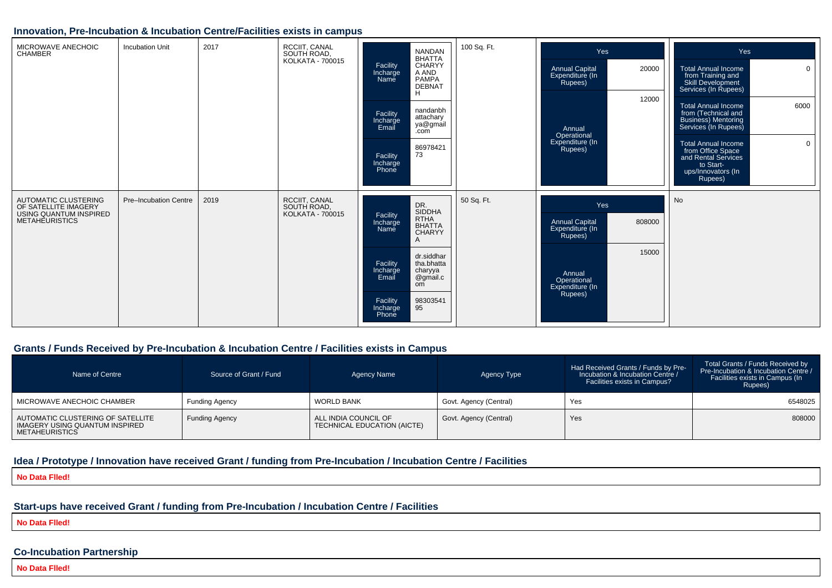#### **Innovation, Pre-Incubation & Incubation Centre/Facilities exists in campus**

| MICROWAVE ANECHOIC<br><b>CHAMBER</b>                                                                   | <b>Incubation Unit</b> | 2017 | RCCIIT, CANAL<br>SOUTH ROAD,<br><b>KOLKATA - 700015</b> | <b>NANDAN</b><br><b>BHATTA</b><br><b>CHARYY</b><br>Facility<br>A AND<br>Incharge<br><b>PAMPA</b><br>Name<br><b>DEBNAT</b><br>H<br>nandanbh<br>Facility<br>attachary<br>Incharge<br>ya@gmail<br>Email<br>.com<br>86978421<br>73<br>Facility<br>Incharge<br>Phone | 100 Sq. Ft. | Yes<br><b>Annual Capital</b><br>20000<br>Expenditure (In<br>Rupees)<br>12000<br>Annual<br>Operational<br>Expenditure (In<br>Rupees)  | Yes<br><b>Total Annual Income</b><br>$\overline{0}$<br>from Training and<br>Skill Development<br>Services (In Rupees)<br>6000<br><b>Total Annual Income</b><br>from (Technical and<br><b>Business)</b> Mentoring<br>Services (In Rupees)<br><b>Total Annual Income</b><br>$\mathbf 0$<br>from Office Space<br>and Rental Services<br>to Start-<br>ups/Innovators (In<br>Rupees) |
|--------------------------------------------------------------------------------------------------------|------------------------|------|---------------------------------------------------------|-----------------------------------------------------------------------------------------------------------------------------------------------------------------------------------------------------------------------------------------------------------------|-------------|--------------------------------------------------------------------------------------------------------------------------------------|---------------------------------------------------------------------------------------------------------------------------------------------------------------------------------------------------------------------------------------------------------------------------------------------------------------------------------------------------------------------------------|
| AUTOMATIC CLUSTERING<br>OF SATELLITE IMAGERY<br><b>USING QUANTUM INSPIRED</b><br><b>METAHEURISTICS</b> | Pre-Incubation Centre  | 2019 | RCCIIT, CANAL<br>SOUTH ROAD,<br><b>KOLKATA - 700015</b> | DR.<br>SIDDHA<br>Facility<br><b>RTHA</b><br>Incharge<br><b>BHATTA</b><br>Name<br><b>CHARYY</b><br>$\overline{A}$<br>dr.siddhar<br>tha.bhatta<br>Facility<br>Incharge<br>charyya<br>Email<br>@gmail.c<br>om<br>98303541<br>95<br>Facility<br>Incharge<br>Phone   | 50 Sq. Ft.  | Yes<br><b>Annual Capital</b><br>808000<br>Expenditure (In<br>Rupees)<br>15000<br>Annual<br>Operational<br>Expenditure (In<br>Rupees) | No                                                                                                                                                                                                                                                                                                                                                                              |

#### **Grants / Funds Received by Pre-Incubation & Incubation Centre / Facilities exists in Campus**

| Name of Centre                                                                               | Source of Grant / Fund | Agency Name                                         | Agency Type            | Had Received Grants / Funds by Pre-<br>Incubation & Incubation Centre /<br>Facilities exists in Campus? | Total Grants / Funds Received by<br>Pre-Incubation & Incubation Centre /<br>Facilities exists in Campus (In<br>Rupees) |
|----------------------------------------------------------------------------------------------|------------------------|-----------------------------------------------------|------------------------|---------------------------------------------------------------------------------------------------------|------------------------------------------------------------------------------------------------------------------------|
| MICROWAVE ANECHOIC CHAMBER                                                                   | <b>Funding Agency</b>  | <b>WORLD BANK</b>                                   | Govt. Agency (Central) | Yes                                                                                                     | 6548025                                                                                                                |
| AUTOMATIC CLUSTERING OF SATELLITE<br>IMAGERY USING QUANTUM INSPIRED<br><b>METAHEURISTICS</b> | <b>Funding Agency</b>  | ALL INDIA COUNCIL OF<br>TECHNICAL EDUCATION (AICTE) | Govt. Agency (Central) | Yes                                                                                                     | 808000                                                                                                                 |

### **Idea / Prototype / Innovation have received Grant / funding from Pre-Incubation / Incubation Centre / Facilities**

**No Data Flled!**

#### **Start-ups have received Grant / funding from Pre-Incubation / Incubation Centre / Facilities**

**No Data Flled!**

#### **Co-Incubation Partnership**

**No Data Flled!**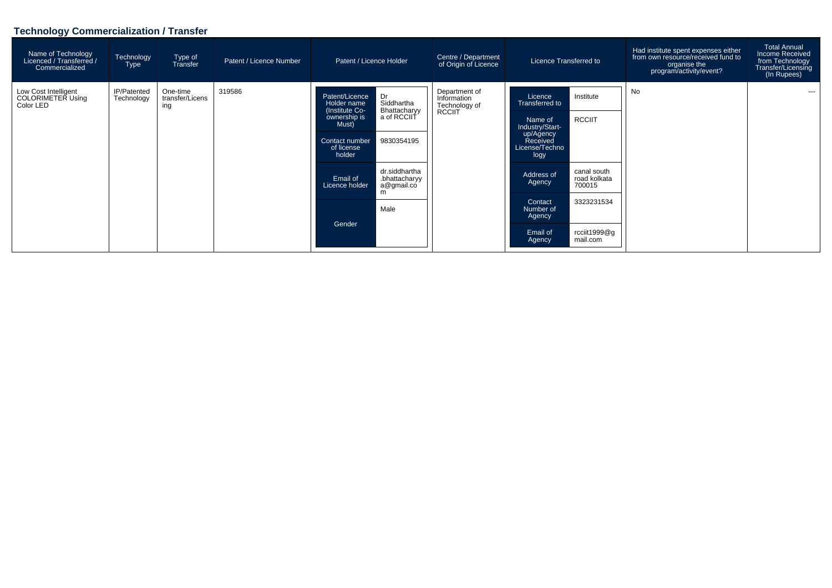# **Technology Commercialization / Transfer**

| Name of Technology<br>Licenced / Transferred /<br>Commercialized | Technology<br>Type        | Type of<br>Transfer                | Patent / Licence Number |                                                                     | Centre / Department<br>of Origin of Licence<br>Patent / Licence Holder |                                                         | Licence Transferred to                          |                                       | Had institute spent expenses either<br>from own resource/received fund to<br>organise the<br>program/activity/event? | <b>Total Annual</b><br>Income Received<br>from Technology<br>Transfer/Licensing<br>(In Rupees) |
|------------------------------------------------------------------|---------------------------|------------------------------------|-------------------------|---------------------------------------------------------------------|------------------------------------------------------------------------|---------------------------------------------------------|-------------------------------------------------|---------------------------------------|----------------------------------------------------------------------------------------------------------------------|------------------------------------------------------------------------------------------------|
| Low Cost Intelligent<br>COLORIMETER Using<br>Color LED           | IP/Patented<br>Technology | One-time<br>transfer/Licens<br>ing | 319586                  | Patent/Licence<br>Holder name                                       | Dr<br>Siddhartha<br>Bhattacharyy                                       | Department of<br>Information<br>Technology of<br>RCCIIT | Licence<br>Transferred to                       | Institute                             | No.                                                                                                                  | $---$                                                                                          |
|                                                                  |                           |                                    |                         | (Institute Co-<br>ownership is<br>Must)                             |                                                                        |                                                         | Name of<br>Industry/Start-                      | <b>RCCIIT</b>                         |                                                                                                                      |                                                                                                |
|                                                                  |                           |                                    |                         | a of RCCIIT<br>9830354195<br>Contact number<br>of license<br>holder |                                                                        |                                                         | up/Agency<br>Received<br>License/Techno<br>logy |                                       |                                                                                                                      |                                                                                                |
|                                                                  |                           |                                    |                         | Email of<br>Licence holder                                          | dr.siddhartha<br>.bhattacharyy<br>a@gmail.co<br>m                      |                                                         | Address of<br>Agency                            | canal south<br>road kolkata<br>700015 |                                                                                                                      |                                                                                                |
|                                                                  |                           |                                    |                         |                                                                     | Male                                                                   |                                                         | Contact<br>Number of<br>Agency                  | 3323231534                            |                                                                                                                      |                                                                                                |
|                                                                  |                           |                                    |                         | Gender                                                              |                                                                        | Email of<br>Agency                                      | rcciit1999@g<br>mail.com                        |                                       |                                                                                                                      |                                                                                                |